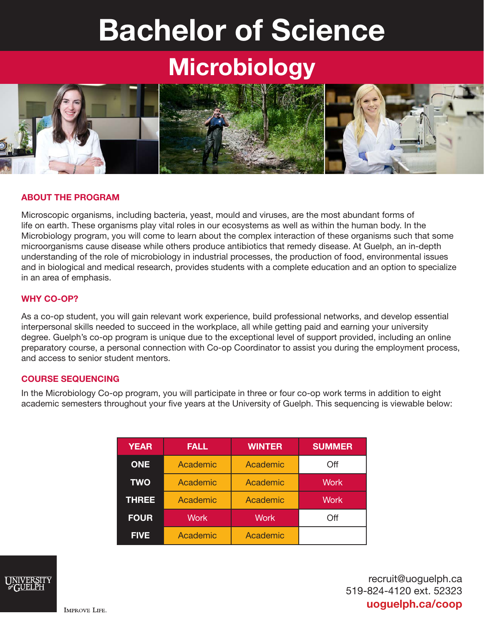# Bachelor of Science

## **Microbiology**



#### ABOUT THE PROGRAM

Microscopic organisms, including bacteria, yeast, mould and viruses, are the most abundant forms of life on earth. These organisms play vital roles in our ecosystems as well as within the human body. In the Microbiology program, you will come to learn about the complex interaction of these organisms such that some microorganisms cause disease while others produce antibiotics that remedy disease. At Guelph, an in-depth understanding of the role of microbiology in industrial processes, the production of food, environmental issues and in biological and medical research, provides students with a complete education and an option to specialize in an area of emphasis.

#### WHY CO-OP?

As a co-op student, you will gain relevant work experience, build professional networks, and develop essential interpersonal skills needed to succeed in the workplace, all while getting paid and earning your university degree. Guelph's co-op program is unique due to the exceptional level of support provided, including an online preparatory course, a personal connection with Co-op Coordinator to assist you during the employment process, and access to senior student mentors.

#### COURSE SEQUENCING

In the Microbiology Co-op program, you will participate in three or four co-op work terms in addition to eight academic semesters throughout your five years at the University of Guelph. This sequencing is viewable below:

| <b>YEAR</b>  | <b>FALL</b> | <b>WINTER</b> | <b>SUMMER</b> |
|--------------|-------------|---------------|---------------|
| <b>ONE</b>   | Academic    | Academic      | Off           |
| <b>TWO</b>   | Academic    | Academic      | <b>Work</b>   |
| <b>THREE</b> | Academic    | Academic      | <b>Work</b>   |
| <b>FOUR</b>  | <b>Work</b> | <b>Work</b>   | Off           |
| <b>FIVE</b>  | Academic    | Academic      |               |



recruit@uoguelph.ca 519-824-4120 ext. 52323 uoguelph.ca/coop